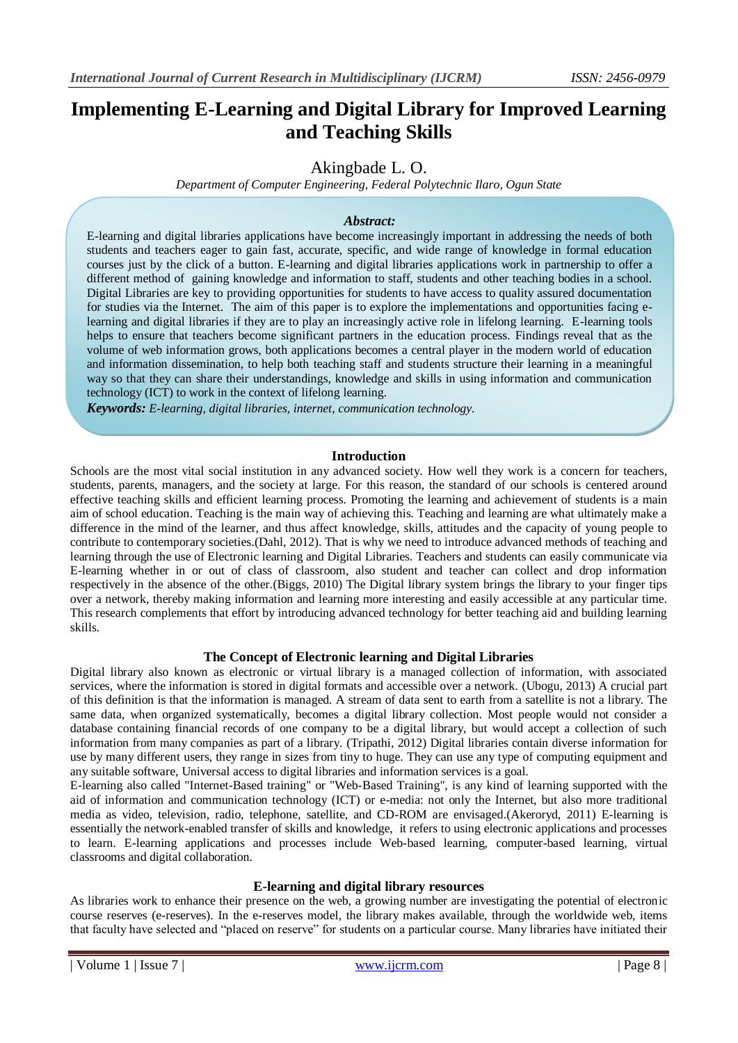# **Implementing E-Learning and Digital Library for Improved Learning and Teaching Skills**

Akingbade L. O.

*Department of Computer Engineering, Federal Polytechnic Ilaro, Ogun State*

# *Abstract:*

E-learning and digital libraries applications have become increasingly important in addressing the needs of both students and teachers eager to gain fast, accurate, specific, and wide range of knowledge in formal education courses just by the click of a button. E-learning and digital libraries applications work in partnership to offer a different method of gaining knowledge and information to staff, students and other teaching bodies in a school. Digital Libraries are key to providing opportunities for students to have access to quality assured documentation for studies via the Internet. The aim of this paper is to explore the implementations and opportunities facing elearning and digital libraries if they are to play an increasingly active role in lifelong learning. E-learning tools helps to ensure that teachers become significant partners in the education process. Findings reveal that as the volume of web information grows, both applications becomes a central player in the modern world of education and information dissemination, to help both teaching staff and students structure their learning in a meaningful way so that they can share their understandings, knowledge and skills in using information and communication technology (ICT) to work in the context of lifelong learning.

*Keywords: E-learning, digital libraries, internet, communication technology.*

# **Introduction**

Schools are the most vital social institution in any advanced society. How well they work is a concern for teachers, students, parents, managers, and the society at large. For this reason, the standard of our schools is centered around effective teaching skills and efficient learning process. Promoting the learning and achievement of students is a main aim of school education. Teaching is the main way of achieving this. Teaching and learning are what ultimately make a difference in the mind of the learner, and thus affect knowledge, skills, attitudes and the capacity of young people to contribute to contemporary societies.(Dahl, 2012). That is why we need to introduce advanced methods of teaching and learning through the use of Electronic learning and Digital Libraries. Teachers and students can easily communicate via E-learning whether in or out of class of classroom, also student and teacher can collect and drop information respectively in the absence of the other.(Biggs, 2010) The Digital library system brings the library to your finger tips over a network, thereby making information and learning more interesting and easily accessible at any particular time. This research complements that effort by introducing advanced technology for better teaching aid and building learning skills.

# **The Concept of Electronic learning and Digital Libraries**

Digital library also known as electronic or virtual library is a managed collection of information, with associated services, where the information is stored in digital formats and accessible over a network. (Ubogu, 2013) A crucial part of this definition is that the information is managed. A stream of data sent to earth from a satellite is not a library. The same data, when organized systematically, becomes a digital library collection. Most people would not consider a database containing financial records of one company to be a digital library, but would accept a collection of such information from many companies as part of a library. (Tripathi, 2012) Digital libraries contain diverse information for use by many different users, they range in sizes from tiny to huge. They can use any type of computing equipment and any suitable software, Universal access to digital libraries and information services is a goal.

E-learning also called "Internet-Based training" or "Web-Based Training", is any kind of learning supported with the aid of information and communication technology (ICT) or e-media: not only the Internet, but also more traditional media as video, television, radio, telephone, satellite, and CD-ROM are envisaged.(Akeroryd, 2011) E-learning is essentially the network-enabled transfer of skills and knowledge, it refers to using electronic applications and processes to learn. E-learning applications and processes include Web-based learning, computer-based learning, virtual classrooms and digital collaboration.

# **E-learning and digital library resources**

As libraries work to enhance their presence on the web, a growing number are investigating the potential of electronic course reserves (e-reserves). In the e-reserves model, the library makes available, through the worldwide web, items that faculty have selected and "placed on reserve" for students on a particular course. Many libraries have initiated their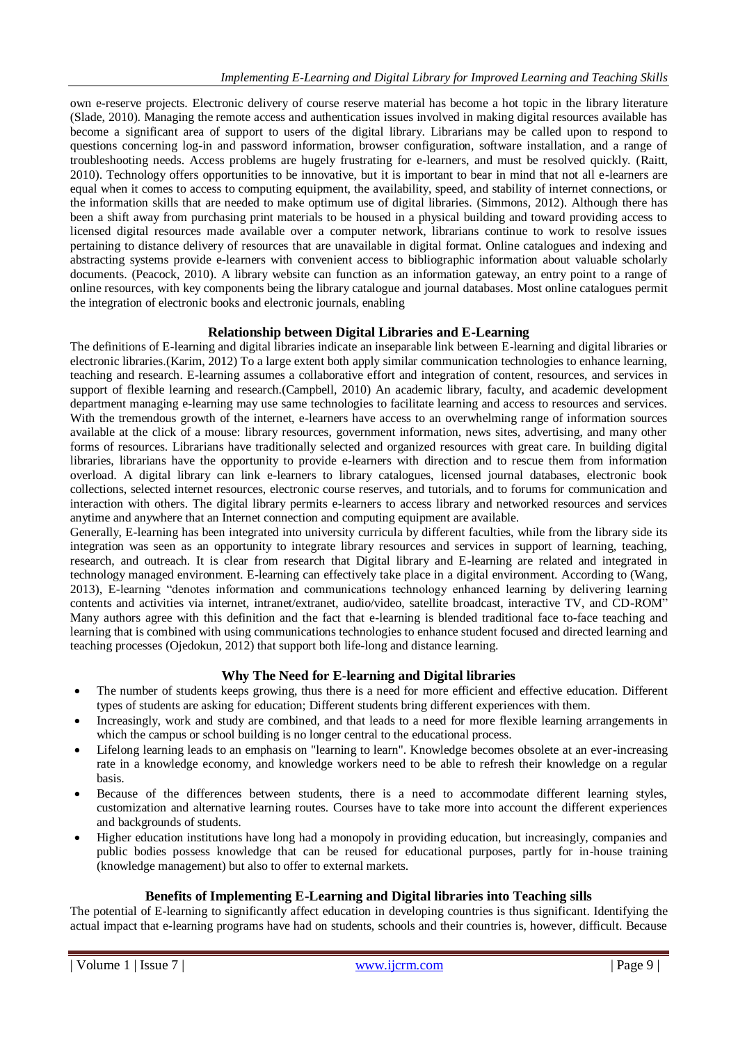own e-reserve projects. Electronic delivery of course reserve material has become a hot topic in the library literature (Slade, 2010). Managing the remote access and authentication issues involved in making digital resources available has become a significant area of support to users of the digital library. Librarians may be called upon to respond to questions concerning log-in and password information, browser configuration, software installation, and a range of troubleshooting needs. Access problems are hugely frustrating for e-learners, and must be resolved quickly. (Raitt, 2010). Technology offers opportunities to be innovative, but it is important to bear in mind that not all e-learners are equal when it comes to access to computing equipment, the availability, speed, and stability of internet connections, or the information skills that are needed to make optimum use of digital libraries. (Simmons, 2012). Although there has been a shift away from purchasing print materials to be housed in a physical building and toward providing access to licensed digital resources made available over a computer network, librarians continue to work to resolve issues pertaining to distance delivery of resources that are unavailable in digital format. Online catalogues and indexing and abstracting systems provide e-learners with convenient access to bibliographic information about valuable scholarly documents. (Peacock, 2010). A library website can function as an information gateway, an entry point to a range of online resources, with key components being the library catalogue and journal databases. Most online catalogues permit the integration of electronic books and electronic journals, enabling

# **Relationship between Digital Libraries and E-Learning**

The definitions of E-learning and digital libraries indicate an inseparable link between E-learning and digital libraries or electronic libraries.(Karim, 2012) To a large extent both apply similar communication technologies to enhance learning, teaching and research. E-learning assumes a collaborative effort and integration of content, resources, and services in support of flexible learning and research.(Campbell, 2010) An academic library, faculty, and academic development department managing e-learning may use same technologies to facilitate learning and access to resources and services. With the tremendous growth of the internet, e-learners have access to an overwhelming range of information sources available at the click of a mouse: library resources, government information, news sites, advertising, and many other forms of resources. Librarians have traditionally selected and organized resources with great care. In building digital libraries, librarians have the opportunity to provide e-learners with direction and to rescue them from information overload. A digital library can link e-learners to library catalogues, licensed journal databases, electronic book collections, selected internet resources, electronic course reserves, and tutorials, and to forums for communication and interaction with others. The digital library permits e-learners to access library and networked resources and services anytime and anywhere that an Internet connection and computing equipment are available.

Generally, E-learning has been integrated into university curricula by different faculties, while from the library side its integration was seen as an opportunity to integrate library resources and services in support of learning, teaching, research, and outreach. It is clear from research that Digital library and E-learning are related and integrated in technology managed environment. E-learning can effectively take place in a digital environment. According to (Wang, 2013), E-learning "denotes information and communications technology enhanced learning by delivering learning contents and activities via internet, intranet/extranet, audio/video, satellite broadcast, interactive TV, and CD-ROM" Many authors agree with this definition and the fact that e-learning is blended traditional face to-face teaching and learning that is combined with using communications technologies to enhance student focused and directed learning and teaching processes (Ojedokun, 2012) that support both life-long and distance learning.

# **Why The Need for E-learning and Digital libraries**

- The number of students keeps growing, thus there is a need for more efficient and effective education. Different types of students are asking for education; Different students bring different experiences with them.
- Increasingly, work and study are combined, and that leads to a need for more flexible learning arrangements in which the campus or school building is no longer central to the educational process.
- Lifelong learning leads to an emphasis on "learning to learn". Knowledge becomes obsolete at an ever-increasing rate in a knowledge economy, and knowledge workers need to be able to refresh their knowledge on a regular basis.
- Because of the differences between students, there is a need to accommodate different learning styles, customization and alternative learning routes. Courses have to take more into account the different experiences and backgrounds of students.
- Higher education institutions have long had a monopoly in providing education, but increasingly, companies and public bodies possess knowledge that can be reused for educational purposes, partly for in-house training (knowledge management) but also to offer to external markets.

# **Benefits of Implementing E-Learning and Digital libraries into Teaching sills**

The potential of E-learning to significantly affect education in developing countries is thus significant. Identifying the actual impact that e-learning programs have had on students, schools and their countries is, however, difficult. Because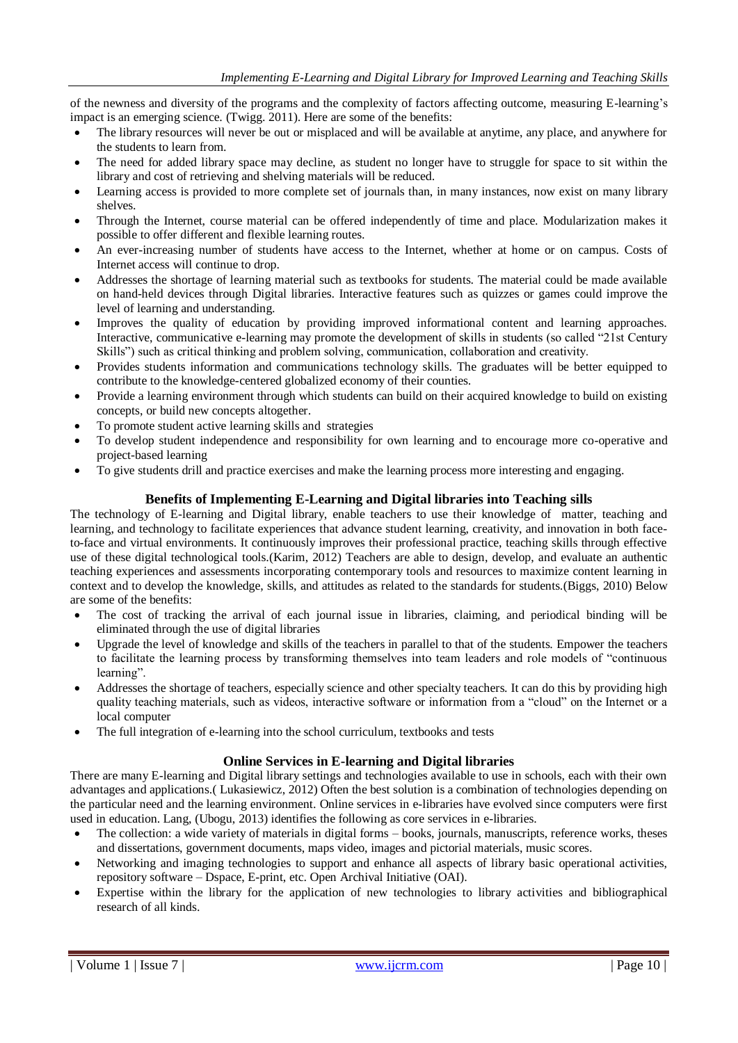of the newness and diversity of the programs and the complexity of factors affecting outcome, measuring E-learning's impact is an emerging science. (Twigg. 2011). Here are some of the benefits:

- The library resources will never be out or misplaced and will be available at anytime, any place, and anywhere for the students to learn from.
- The need for added library space may decline, as student no longer have to struggle for space to sit within the library and cost of retrieving and shelving materials will be reduced.
- Learning access is provided to more complete set of journals than, in many instances, now exist on many library shelves.
- Through the Internet, course material can be offered independently of time and place. Modularization makes it possible to offer different and flexible learning routes.
- An ever-increasing number of students have access to the Internet, whether at home or on campus. Costs of Internet access will continue to drop.
- Addresses the shortage of learning material such as textbooks for students. The material could be made available on hand-held devices through Digital libraries. Interactive features such as quizzes or games could improve the level of learning and understanding.
- Improves the quality of education by providing improved informational content and learning approaches. Interactive, communicative e-learning may promote the development of skills in students (so called "21st Century Skills") such as critical thinking and problem solving, communication, collaboration and creativity.
- Provides students information and communications technology skills. The graduates will be better equipped to contribute to the knowledge-centered globalized economy of their counties.
- Provide a learning environment through which students can build on their acquired knowledge to build on existing concepts, or build new concepts altogether.
- To promote student active learning skills and strategies
- To develop student independence and responsibility for own learning and to encourage more co-operative and project-based learning
- To give students drill and practice exercises and make the learning process more interesting and engaging.

# **Benefits of Implementing E-Learning and Digital libraries into Teaching sills**

The technology of E-learning and Digital library, enable teachers to use their knowledge of matter, teaching and learning, and technology to facilitate experiences that advance student learning, creativity, and innovation in both faceto-face and virtual environments. It continuously improves their professional practice, teaching skills through effective use of these digital technological tools.(Karim, 2012) Teachers are able to design, develop, and evaluate an authentic teaching experiences and assessments incorporating contemporary tools and resources to maximize content learning in context and to develop the knowledge, skills, and attitudes as related to the standards for students.(Biggs, 2010) Below are some of the benefits:

- The cost of tracking the arrival of each journal issue in libraries, claiming, and periodical binding will be eliminated through the use of digital libraries
- Upgrade the level of knowledge and skills of the teachers in parallel to that of the students. Empower the teachers to facilitate the learning process by transforming themselves into team leaders and role models of "continuous learning".
- Addresses the shortage of teachers, especially science and other specialty teachers. It can do this by providing high quality teaching materials, such as videos, interactive software or information from a "cloud" on the Internet or a local computer
- The full integration of e-learning into the school curriculum, textbooks and tests

# **Online Services in E-learning and Digital libraries**

There are many E-learning and Digital library settings and technologies available to use in schools, each with their own advantages and applications.( Lukasiewicz, 2012) Often the best solution is a combination of technologies depending on the particular need and the learning environment. Online services in e-libraries have evolved since computers were first used in education. Lang, (Ubogu, 2013) identifies the following as core services in e-libraries.

- The collection: a wide variety of materials in digital forms books, journals, manuscripts, reference works, theses and dissertations, government documents, maps video, images and pictorial materials, music scores.
- Networking and imaging technologies to support and enhance all aspects of library basic operational activities, repository software – Dspace, E-print, etc. Open Archival Initiative (OAI).
- Expertise within the library for the application of new technologies to library activities and bibliographical research of all kinds.